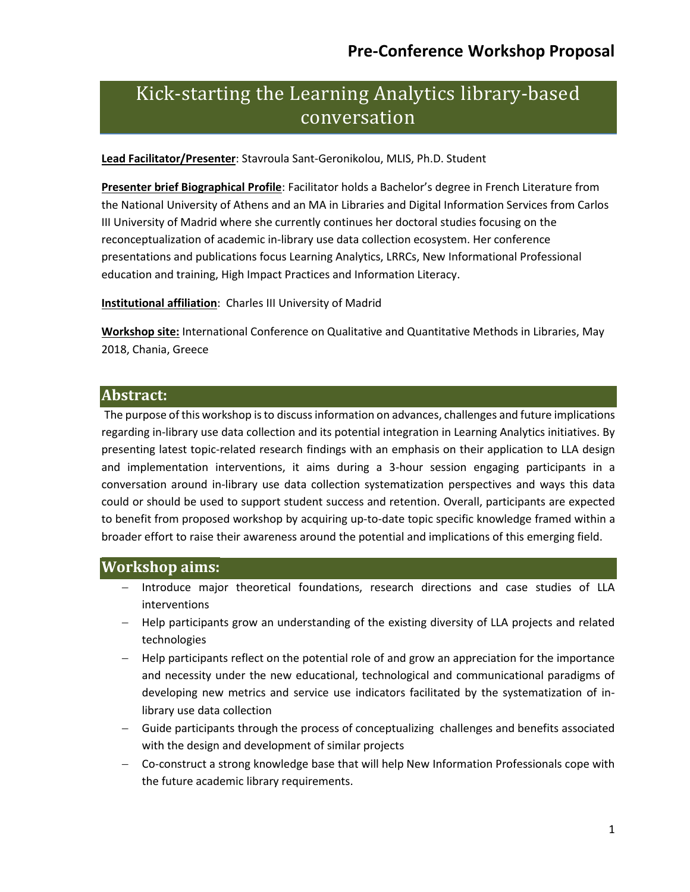# Kick-starting the Learning Analytics library-based conversation

**Lead Facilitator/Presenter**: Stavroula Sant-Geronikolou, MLIS, Ph.D. Student

**Presenter brief Biographical Profile**: Facilitator holds a Bachelor's degree in French Literature from the National University of Athens and an MA in Libraries and Digital Information Services from Carlos III University of Madrid where she currently continues her doctoral studies focusing on the reconceptualization of academic in-library use data collection ecosystem. Her conference presentations and publications focus Learning Analytics, LRRCs, New Informational Professional education and training, High Impact Practices and Information Literacy.

**Institutional affiliation**: Charles III University of Madrid

**Workshop site:** International Conference on Qualitative and Quantitative Methods in Libraries, May 2018, Chania, Greece

#### **Abstract:**

The purpose of this workshop is to discuss information on advances, challenges and future implications regarding in-library use data collection and its potential integration in Learning Analytics initiatives. By presenting latest topic-related research findings with an emphasis on their application to LLA design and implementation interventions, it aims during a 3-hour session engaging participants in a conversation around in-library use data collection systematization perspectives and ways this data could or should be used to support student success and retention. Overall, participants are expected to benefit from proposed workshop by acquiring up-to-date topic specific knowledge framed within a broader effort to raise their awareness around the potential and implications of this emerging field.

#### **Workshop aims:**

- Introduce major theoretical foundations, research directions and case studies of LLA interventions
- Help participants grow an understanding of the existing diversity of LLA projects and related technologies
- Help participants reflect on the potential role of and grow an appreciation for the importance and necessity under the new educational, technological and communicational paradigms of developing new metrics and service use indicators facilitated by the systematization of inlibrary use data collection
- Guide participants through the process of conceptualizing challenges and benefits associated with the design and development of similar projects
- Co-construct a strong knowledge base that will help New Information Professionals cope with the future academic library requirements.